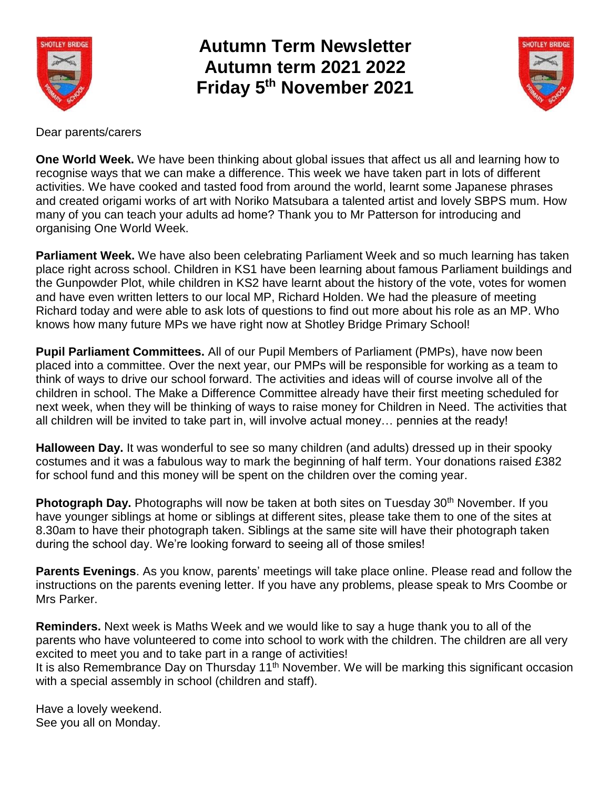

**Autumn Term Newsletter Autumn term 2021 2022 Friday 5 th November 2021**



Dear parents/carers

**One World Week.** We have been thinking about global issues that affect us all and learning how to recognise ways that we can make a difference. This week we have taken part in lots of different activities. We have cooked and tasted food from around the world, learnt some Japanese phrases and created origami works of art with Noriko Matsubara a talented artist and lovely SBPS mum. How many of you can teach your adults ad home? Thank you to Mr Patterson for introducing and organising One World Week.

**Parliament Week.** We have also been celebrating Parliament Week and so much learning has taken place right across school. Children in KS1 have been learning about famous Parliament buildings and the Gunpowder Plot, while children in KS2 have learnt about the history of the vote, votes for women and have even written letters to our local MP, Richard Holden. We had the pleasure of meeting Richard today and were able to ask lots of questions to find out more about his role as an MP. Who knows how many future MPs we have right now at Shotley Bridge Primary School!

**Pupil Parliament Committees.** All of our Pupil Members of Parliament (PMPs), have now been placed into a committee. Over the next year, our PMPs will be responsible for working as a team to think of ways to drive our school forward. The activities and ideas will of course involve all of the children in school. The Make a Difference Committee already have their first meeting scheduled for next week, when they will be thinking of ways to raise money for Children in Need. The activities that all children will be invited to take part in, will involve actual money… pennies at the ready!

**Halloween Day.** It was wonderful to see so many children (and adults) dressed up in their spooky costumes and it was a fabulous way to mark the beginning of half term. Your donations raised £382 for school fund and this money will be spent on the children over the coming year.

**Photograph Day.** Photographs will now be taken at both sites on Tuesday 30<sup>th</sup> November. If you have younger siblings at home or siblings at different sites, please take them to one of the sites at 8.30am to have their photograph taken. Siblings at the same site will have their photograph taken during the school day. We're looking forward to seeing all of those smiles!

**Parents Evenings**. As you know, parents' meetings will take place online. Please read and follow the instructions on the parents evening letter. If you have any problems, please speak to Mrs Coombe or Mrs Parker.

**Reminders.** Next week is Maths Week and we would like to say a huge thank you to all of the parents who have volunteered to come into school to work with the children. The children are all very excited to meet you and to take part in a range of activities!

It is also Remembrance Day on Thursday  $11<sup>th</sup>$  November. We will be marking this significant occasion with a special assembly in school (children and staff).

Have a lovely weekend. See you all on Monday.